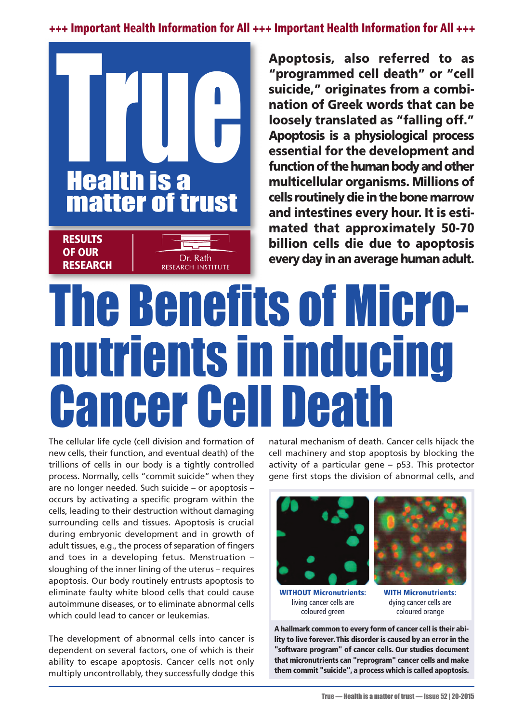**+++ Important Health Information for All +++ Important Health Information for All +++**



**Apoptosis, also referred to as "programmed cell death" or "cell suicide," originates from a combination of Greek words that can be loosely translated as "falling off." Apoptosis is a physiological process essential for the development and function of the human body and other multicellular organisms. Millions of cells routinelydie inthebonemarrow and intestines every hour. It is estimated that approximately 50-70 billion cells die due to apoptosis every day in an average human adult.**

## The Benefits of Micronutrients in inducing Cancer Cell Death

The cellular life cycle (cell division and formation of new cells, their function, and eventual death) of the trillions of cells in our body is a tightly controlled process. Normally, cells "commit suicide" when they are no longer needed. Such suicide – or apoptosis – occurs by activating a specific program within the cells, leading to their destruction without damaging surrounding cells and tissues. Apoptosis is crucial during embryonic development and in growth of adult tissues, e.g., the process of separation of fingers and toes in a developing fetus. Menstruation – sloughing of the inner lining of the uterus – requires apoptosis. Our body routinely entrusts apoptosis to eliminate faulty white blood cells that could cause autoimmune diseases, or to eliminate abnormal cells which could lead to cancer or leukemias.

The development of abnormal cells into cancer is dependent on several factors, one of which is their ability to escape apoptosis. Cancer cells not only multiply uncontrollably, they successfully dodge this natural mechanism of death. Cancer cells hijack the cell machinery and stop apoptosis by blocking the activity of a particular gene – p53. This protector gene first stops the division of abnormal cells, and







**WITH Micronutrients:** dying cancer cells are coloured orange

**A hallmark common to every form of cancer cell is their ability to live forever. This disorder is caused by an error in the "software program" of cancer cells. Our studies document that micronutrients can "reprogram" cancer cells and make them commit "suicide", a process which is called apoptosis.**